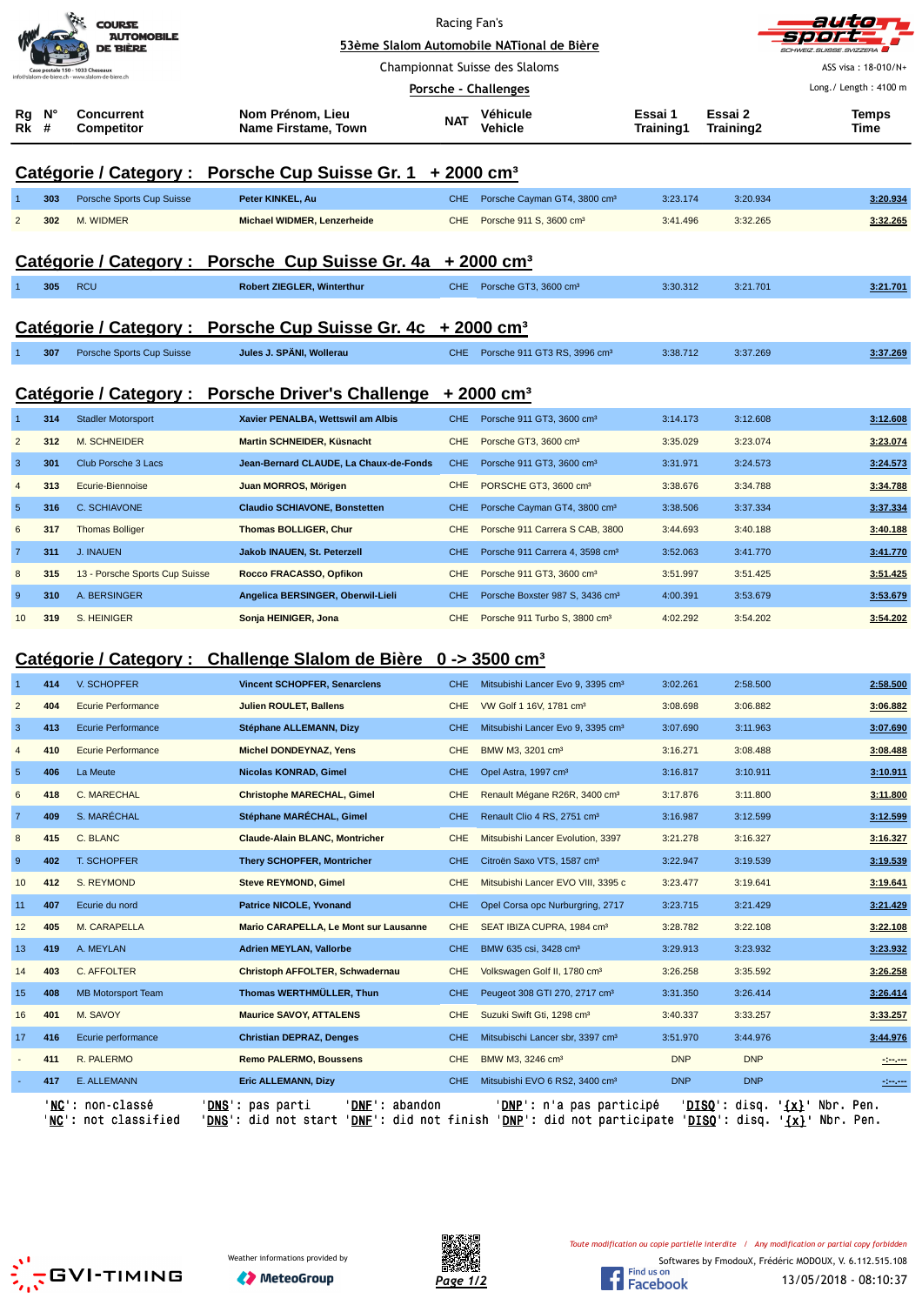|                |         | <b>COURSE</b><br><b>AUTOMOBILE</b><br>DE BIÈRE                                  |                                                                                                                                                                                                 | Racing Fan's                                                           | 53ème Slalom Automobile NATional de Bière     |                      |                        | autic<br><b>SVIZZERA</b>                                                                                                  |
|----------------|---------|---------------------------------------------------------------------------------|-------------------------------------------------------------------------------------------------------------------------------------------------------------------------------------------------|------------------------------------------------------------------------|-----------------------------------------------|----------------------|------------------------|---------------------------------------------------------------------------------------------------------------------------|
|                |         | Case postale 150 - 1033 Cheseaux<br>slalom-de-biere.ch - www.slalom-de-biere.ch | Championnat Suisse des Slaloms                                                                                                                                                                  |                                                                        |                                               |                      |                        | ASS visa: 18-010/N+                                                                                                       |
|                |         |                                                                                 |                                                                                                                                                                                                 |                                                                        | Porsche - Challenges                          |                      |                        | Long./ Length: 4100 m                                                                                                     |
| Rg<br>Rk       | N°<br># | <b>Concurrent</b><br><b>Competitor</b>                                          | Nom Prénom, Lieu<br>Name Firstame, Town                                                                                                                                                         | <b>NAT</b>                                                             | Véhicule<br>Vehicle                           | Essai 1<br>Training1 | Essai 2<br>Training2   | <b>Temps</b><br>Time                                                                                                      |
|                |         |                                                                                 |                                                                                                                                                                                                 | Catégorie / Category : Porsche Cup Suisse Gr. 1 + 2000 cm <sup>3</sup> |                                               |                      |                        |                                                                                                                           |
|                | 303     | Porsche Sports Cup Suisse                                                       | Peter KINKEL, Au                                                                                                                                                                                | <b>CHE</b>                                                             | Porsche Cayman GT4, 3800 cm <sup>3</sup>      | 3:23.174             | 3:20.934               | 3:20.934                                                                                                                  |
| $\overline{2}$ | 302     | M. WIDMER                                                                       | Michael WIDMER, Lenzerheide                                                                                                                                                                     | <b>CHE</b>                                                             | Porsche 911 S, 3600 cm <sup>3</sup>           | 3:41.496             | 3:32.265               | 3:32.265                                                                                                                  |
|                |         |                                                                                 | Catégorie / Category : Porsche Cup Suisse Gr. 4a + 2000 cm <sup>3</sup>                                                                                                                         |                                                                        |                                               |                      |                        |                                                                                                                           |
|                | 305     | <b>RCU</b>                                                                      | <b>Robert ZIEGLER, Winterthur</b>                                                                                                                                                               |                                                                        | CHE Porsche GT3, 3600 cm <sup>3</sup>         | 3:30.312             | 3:21.701               | 3:21.701                                                                                                                  |
|                |         |                                                                                 |                                                                                                                                                                                                 |                                                                        |                                               |                      |                        |                                                                                                                           |
|                |         |                                                                                 | Catégorie / Category : Porsche Cup Suisse Gr. 4c + 2000 cm <sup>3</sup>                                                                                                                         |                                                                        |                                               |                      |                        |                                                                                                                           |
|                | 307     | Porsche Sports Cup Suisse                                                       | Jules J. SPÄNI, Wollerau                                                                                                                                                                        |                                                                        | CHE Porsche 911 GT3 RS, 3996 cm <sup>3</sup>  | 3:38.712             | 3:37.269               | 3:37.269                                                                                                                  |
|                |         |                                                                                 | Catégorie / Category : Porsche Driver's Challenge + 2000 cm <sup>3</sup>                                                                                                                        |                                                                        |                                               |                      |                        |                                                                                                                           |
| -1             | 314     | <b>Stadler Motorsport</b>                                                       | Xavier PENALBA, Wettswil am Albis                                                                                                                                                               | <b>CHE</b>                                                             | Porsche 911 GT3, 3600 cm <sup>3</sup>         | 3:14.173             | 3:12.608               | 3:12.608                                                                                                                  |
| $\overline{2}$ | 312     | <b>M. SCHNEIDER</b>                                                             | <b>Martin SCHNEIDER, Küsnacht</b>                                                                                                                                                               | <b>CHE</b>                                                             | Porsche GT3, 3600 cm <sup>3</sup>             | 3:35.029             | 3:23.074               | 3:23.074                                                                                                                  |
| 3              | 301     | Club Porsche 3 Lacs                                                             | Jean-Bernard CLAUDE, La Chaux-de-Fonds                                                                                                                                                          | <b>CHE</b>                                                             | Porsche 911 GT3, 3600 cm <sup>3</sup>         | 3:31.971             | 3:24.573               | 3:24.573                                                                                                                  |
| $\overline{4}$ | 313     | Ecurie-Biennoise                                                                | Juan MORROS, Mörigen                                                                                                                                                                            | <b>CHE</b>                                                             | PORSCHE GT3, 3600 cm <sup>3</sup>             | 3:38.676             | 3:34.788               | 3:34.788                                                                                                                  |
| $\overline{5}$ | 316     | C. SCHIAVONE                                                                    | <b>Claudio SCHIAVONE, Bonstetten</b>                                                                                                                                                            | <b>CHE</b>                                                             | Porsche Cayman GT4, 3800 cm <sup>3</sup>      | 3:38.506             | 3:37.334               | 3:37.334                                                                                                                  |
| 6              | 317     | <b>Thomas Bolliger</b>                                                          | <b>Thomas BOLLIGER, Chur</b>                                                                                                                                                                    | <b>CHE</b>                                                             | Porsche 911 Carrera S CAB, 3800               | 3:44.693             | 3:40.188               | 3:40.188                                                                                                                  |
| $\overline{7}$ | 311     | <b>J. INAUEN</b>                                                                | Jakob INAUEN, St. Peterzell                                                                                                                                                                     | <b>CHE</b>                                                             | Porsche 911 Carrera 4, 3598 cm <sup>3</sup>   | 3:52.063             | 3:41.770               | 3:41.770                                                                                                                  |
| 8              | 315     | 13 - Porsche Sports Cup Suisse                                                  | Rocco FRACASSO, Opfikon                                                                                                                                                                         | <b>CHE</b>                                                             | Porsche 911 GT3, 3600 cm <sup>3</sup>         | 3:51.997             | 3:51.425               | 3:51.425                                                                                                                  |
| 9              | 310     | A. BERSINGER                                                                    | Angelica BERSINGER, Oberwil-Lieli                                                                                                                                                               | <b>CHE</b>                                                             | Porsche Boxster 987 S, 3436 cm <sup>3</sup>   | 4:00.391             | 3:53.679               | 3:53.679                                                                                                                  |
| 10             | 319     | S. HEINIGER                                                                     | Sonja HEINIGER, Jona                                                                                                                                                                            | <b>CHE</b>                                                             | Porsche 911 Turbo S, 3800 cm <sup>3</sup>     | 4:02.292             | 3:54.202               | 3:54.202                                                                                                                  |
|                |         |                                                                                 |                                                                                                                                                                                                 |                                                                        |                                               |                      |                        |                                                                                                                           |
|                |         |                                                                                 | Catégorie / Category : Challenge Slalom de Bière 0 -> 3500 cm <sup>3</sup>                                                                                                                      |                                                                        |                                               |                      |                        |                                                                                                                           |
|                | 414     | V. SCHOPFER                                                                     | <b>Vincent SCHOPFER, Senarclens</b>                                                                                                                                                             | CHE.                                                                   | Mitsubishi Lancer Evo 9, 3395 cm <sup>3</sup> | 3:02.261             | 2:58.500               | 2:58.500                                                                                                                  |
| $\overline{2}$ | 404     | Ecurie Performance                                                              | <b>Julien ROULET, Ballens</b>                                                                                                                                                                   | <b>CHE</b>                                                             | VW Golf 1 16V, 1781 cm <sup>3</sup>           | 3:08.698             | 3:06.882               | 3:06.882                                                                                                                  |
| 3              | 413     | <b>Ecurie Performance</b>                                                       | Stéphane ALLEMANN, Dizy                                                                                                                                                                         | <b>CHE</b>                                                             | Mitsubishi Lancer Evo 9, 3395 cm <sup>3</sup> | 3:07.690             | 3:11.963               | 3:07.690                                                                                                                  |
| 4              | 410     | <b>Ecurie Performance</b>                                                       | <b>Michel DONDEYNAZ, Yens</b>                                                                                                                                                                   | <b>CHE</b>                                                             | BMW M3, 3201 cm <sup>3</sup>                  | 3:16.271             | 3:08.488               | 3:08.488                                                                                                                  |
| $\sqrt{5}$     | 406     | La Meute                                                                        | Nicolas KONRAD, Gimel                                                                                                                                                                           | <b>CHE</b>                                                             | Opel Astra, 1997 cm <sup>3</sup>              | 3:16.817             | 3:10.911               | 3:10.911                                                                                                                  |
| 6              | 418     | <b>C. MARECHAL</b>                                                              | <b>Christophe MARECHAL, Gimel</b>                                                                                                                                                               | <b>CHE</b>                                                             | Renault Mégane R26R, 3400 cm <sup>3</sup>     | 3:17.876             | 3:11.800               | 3:11.800                                                                                                                  |
| $\overline{7}$ | 409     | S. MARÉCHAL                                                                     | Stéphane MARÉCHAL, Gimel                                                                                                                                                                        | <b>CHE</b>                                                             | Renault Clio 4 RS, 2751 cm <sup>3</sup>       | 3:16.987             | 3:12.599               | 3:12.599                                                                                                                  |
| 8              | 415     | C. BLANC                                                                        | <b>Claude-Alain BLANC, Montricher</b>                                                                                                                                                           | <b>CHE</b>                                                             | Mitsubishi Lancer Evolution, 3397             | 3:21.278             | 3:16.327               | 3:16.327                                                                                                                  |
| 9              | 402     | T. SCHOPFER                                                                     | <b>Thery SCHOPFER, Montricher</b>                                                                                                                                                               | <b>CHE</b>                                                             | Citroën Saxo VTS, 1587 cm <sup>3</sup>        | 3:22.947             | 3:19.539               | 3:19.539                                                                                                                  |
| 10             | 412     | S. REYMOND                                                                      | <b>Steve REYMOND, Gimel</b>                                                                                                                                                                     | <b>CHE</b>                                                             | Mitsubishi Lancer EVO VIII, 3395 c            | 3:23.477             | 3:19.641               | 3:19.641                                                                                                                  |
| 11             | 407     | Ecurie du nord                                                                  | <b>Patrice NICOLE, Yvonand</b>                                                                                                                                                                  | <b>CHE</b>                                                             | Opel Corsa opc Nurburgring, 2717              | 3:23.715             | 3:21.429               | 3:21.429                                                                                                                  |
| 12             | 405     | M. CARAPELLA                                                                    | <b>Mario CARAPELLA, Le Mont sur Lausanne</b>                                                                                                                                                    | <b>CHE</b>                                                             | SEAT IBIZA CUPRA, 1984 cm <sup>3</sup>        | 3:28.782             | 3:22.108               | 3:22.108                                                                                                                  |
| 13             | 419     | A. MEYLAN                                                                       | <b>Adrien MEYLAN, Vallorbe</b>                                                                                                                                                                  | <b>CHE</b>                                                             | BMW 635 csi, 3428 cm <sup>3</sup>             | 3:29.913             | 3:23.932               | 3:23.932                                                                                                                  |
| 14             | 403     | C. AFFOLTER                                                                     | Christoph AFFOLTER, Schwadernau                                                                                                                                                                 | <b>CHE</b>                                                             | Volkswagen Golf II, 1780 cm <sup>3</sup>      | 3:26.258             | 3:35.592               | 3:26.258                                                                                                                  |
| 15             | 408     | <b>MB Motorsport Team</b>                                                       | Thomas WERTHMÜLLER, Thun                                                                                                                                                                        | <b>CHE</b>                                                             | Peugeot 308 GTI 270, 2717 cm <sup>3</sup>     | 3:31.350             | 3:26.414               | 3:26.414                                                                                                                  |
| 16             | 401     | M. SAVOY                                                                        | <b>Maurice SAVOY, ATTALENS</b>                                                                                                                                                                  | <b>CHE</b>                                                             | Suzuki Swift Gti, 1298 cm <sup>3</sup>        | 3:40.337             | 3:33.257               | 3:33.257                                                                                                                  |
| 17             | 416     | Ecurie performance                                                              | <b>Christian DEPRAZ, Denges</b>                                                                                                                                                                 | <b>CHE</b>                                                             | Mitsubischi Lancer sbr, 3397 cm <sup>3</sup>  | 3:51.970             | 3:44.976               | 3:44.976                                                                                                                  |
|                | 411     | R. PALERMO                                                                      | <b>Remo PALERMO, Boussens</b>                                                                                                                                                                   | <b>CHE</b>                                                             | BMW M3, 3246 cm <sup>3</sup>                  | <b>DNP</b>           | <b>DNP</b>             | $\frac{1}{2} \left( \frac{1}{2} \right) \left( \frac{1}{2} \right) \left( \frac{1}{2} \right) \left( \frac{1}{2} \right)$ |
|                | 417     | E. ALLEMANN                                                                     | <b>Eric ALLEMANN, Dizy</b>                                                                                                                                                                      | <b>CHE</b>                                                             | Mitsubishi EVO 6 RS2, 3400 cm <sup>3</sup>    | <b>DNP</b>           | <b>DNP</b>             | $-200$                                                                                                                    |
|                |         | 'NC': non-classé<br>'NC': not classified                                        | 'DNE': abandon<br>' <u>DNS</u> ': pas parti<br>' <u>DNS</u> ': did not start ' <u>DNF</u> ': did not finish ' <u>DNP</u> ': did not participate ' <u>DISQ</u> ': disq. ' <u>{x}</u> ' Nbr. Pen. |                                                                        | ' <u>DNP</u> ': n'a pas participé             |                      | ' <u>DISQ</u> ': disq. | ' <u>{x}</u> ' Nbr. Pen.                                                                                                  |





Softwares by FmodouX, Frédéric MODOUX, V. 6.112.515.108